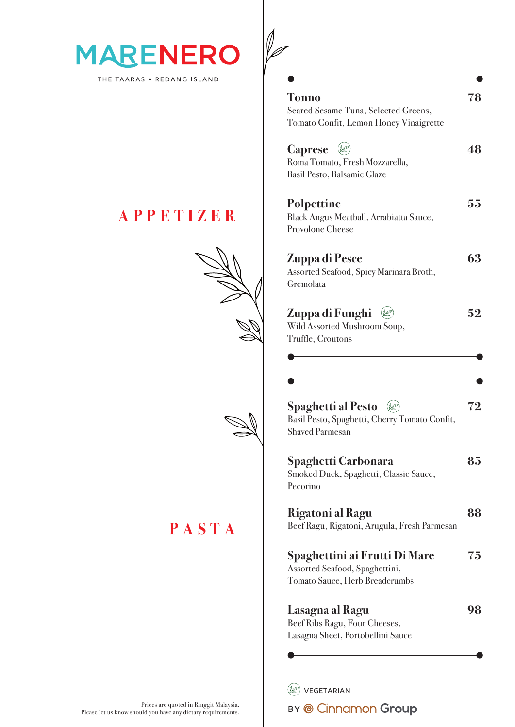

THE TAARAS . REDANG ISLAND

#### **A P P ETI Z E R**





**PASTA**

**Tonno 78** Seared Sesame Tuna, Selected Greens, Tomato Confit, Lemon Honey Vinaigrette **Caprese**  $\oslash$  48 Roma Tomato, Fresh Mozzarella, Basil Pesto, Balsamic Glaze **Polpettine 55** Black Angus Meatball, Arrabiatta Sauce, Provolone Cheese

**Zuppa di Pesce 63** Assorted Seafood, Spicy Marinara Broth, Gremolata

| Zuppa di Funghi $\mathcal{Q}$ | 52 |
|-------------------------------|----|
| Wild Assorted Mushroom Soup,  |    |
| Truffle, Croutons             |    |

| <b>Spaghetti al Pesto</b> $\mathcal{Q}$       | 72 |
|-----------------------------------------------|----|
| Basil Pesto, Spaghetti, Cherry Tomato Confit, |    |
| <b>Shaved Parmesan</b>                        |    |

| Spaghetti Carbonara                          | 85 |
|----------------------------------------------|----|
| Smoked Duck, Spaghetti, Classic Sauce,       |    |
| Pecorino                                     |    |
| Rigatoni al Ragu                             |    |
| Beef Ragu, Rigatoni, Arugula, Fresh Parmesan |    |
| Spaghettini ai Frutti Di Mare                | 75 |
| Assorted Seafood, Spaghettini,               |    |
| Tomato Sauce, Herb Breadcrumbs               |    |
|                                              |    |

**Lasagna al Ragu 98** Beef Ribs Ragu, Four Cheeses, Lasagna Sheet, Portobellini Sauce

 $(\mathscr{Q})$  VEGETARIAN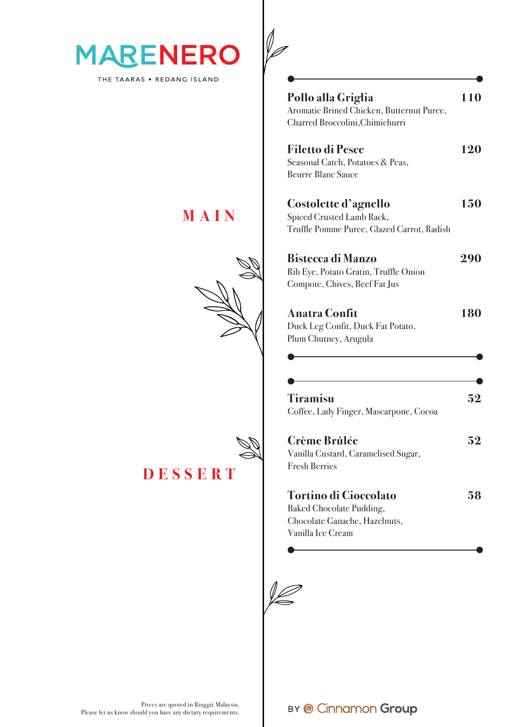

THE TAARAS . REDANG ISLAND

#### **MAIN**

**DESSERT**



**Pollo alla Griglia 110** Aromatic Brined Chicken, Butternut Puree, Charred Broccolini,Chimichurri **Filetto di Pesce 120** Seasonal Catch, Potatoes & Peas, Beurre Blanc Sauce **Costolette d'agnello 150** Spiced Crusted Lamb Rack, Truffle Pomme Puree, Glazed Carrot, Radish **Bistecca di Manzo 290** Rib Eye, Potato Gratin, Truffle Onion Compote, Chives, Beef Fat Jus

| <b>Anatra Confit</b>              | 180 |
|-----------------------------------|-----|
| Duck Leg Confit, Duck Fat Potato, |     |
| Plum Chutney, Arugula             |     |

| Tiramisu                               | 52 |
|----------------------------------------|----|
| Coffee, Lady Finger, Mascarpone, Cocoa |    |

| <b>Crème Brûlée</b>                 | 52 |
|-------------------------------------|----|
| Vanilla Custard, Caramelised Sugar, |    |
| <b>Fresh Berries</b>                |    |
| <b>Tortino di Cioccolato</b>        | 58 |
| Baked Chocolate Pudding,            |    |
| Choodoto Canocho, Hozolouto         |    |

Chocolate Ganache, Hazelnuts, Vanilla Ice Cream

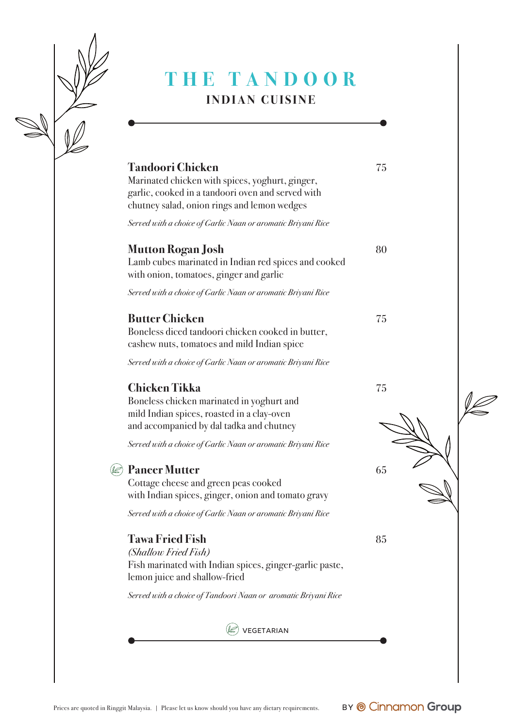

### **THE TANDOO R INDIAN CUISINE**

| <b>Tandoori Chicken</b>                                                                                                                                                            |    |  |
|------------------------------------------------------------------------------------------------------------------------------------------------------------------------------------|----|--|
| Marinated chicken with spices, yoghurt, ginger,<br>garlic, cooked in a tandoori oven and served with<br>chutney salad, onion rings and lemon wedges                                | 75 |  |
| Served with a choice of Garlic Naan or aromatic Briyani Rice                                                                                                                       |    |  |
| <b>Mutton Rogan Josh</b><br>Lamb cubes marinated in Indian red spices and cooked<br>with onion, tomatoes, ginger and garlic                                                        | 80 |  |
| Served with a choice of Garlic Naan or aromatic Briyani Rice                                                                                                                       |    |  |
| <b>Butter Chicken</b><br>Boneless diced tandoori chicken cooked in butter,<br>cashew nuts, tomatoes and mild Indian spice                                                          | 75 |  |
| Served with a choice of Garlic Naan or aromatic Briyani Rice                                                                                                                       |    |  |
| <b>Chicken Tikka</b><br>Boneless chicken marinated in yoghurt and<br>mild Indian spices, roasted in a clay-oven<br>and accompanied by dal tadka and chutney                        | 75 |  |
| Served with a choice of Garlic Naan or aromatic Briyani Rice                                                                                                                       |    |  |
| <b>Paneer Mutter</b><br>Cottage cheese and green peas cooked<br>with Indian spices, ginger, onion and tomato gravy<br>Served with a choice of Garlic Naan or aromatic Briyani Rice | 65 |  |
| <b>Tawa Fried Fish</b><br>(Shallow Fried Fish)<br>Fish marinated with Indian spices, ginger-garlic paste,<br>lemon juice and shallow-fried                                         | 85 |  |
| Served with a choice of Tandoori Naan or aromatic Briyani Rice                                                                                                                     |    |  |
| VEGETARIAN                                                                                                                                                                         |    |  |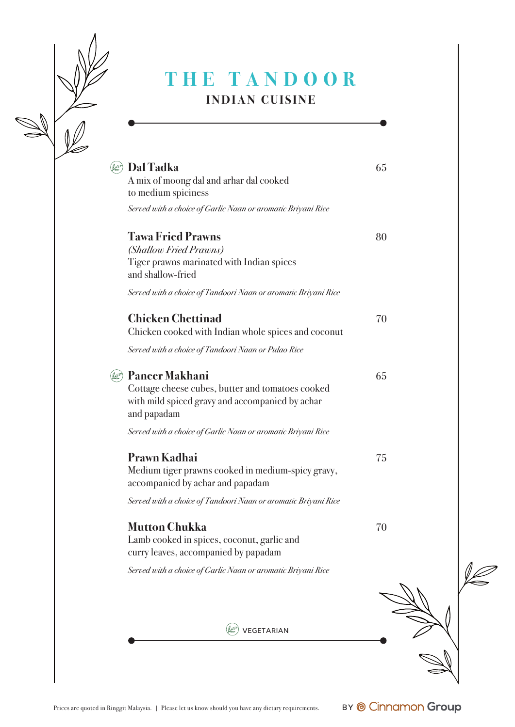

#### **THE TANDOO R INDIAN CUISINE**

| Dal Tadka<br>A mix of moong dal and arhar dal cooked<br>to medium spiciness                                                                 | 65 |
|---------------------------------------------------------------------------------------------------------------------------------------------|----|
| Served with a choice of Garlic Naan or aromatic Briyani Rice                                                                                |    |
| <b>Tawa Fried Prawns</b><br>(Shallow Fried Prawns)<br>Tiger prawns marinated with Indian spices<br>and shallow-fried                        | 80 |
| Served with a choice of Tandoori Naan or aromatic Briyani Rice                                                                              |    |
| <b>Chicken Chettinad</b><br>Chicken cooked with Indian whole spices and coconut                                                             | 70 |
| Served with a choice of Tandoori Naan or Pulao Rice                                                                                         |    |
| <b>Paneer Makhani</b><br>Cottage cheese cubes, butter and tomatoes cooked<br>with mild spiced gravy and accompanied by achar<br>and papadam | 65 |
| Served with a choice of Garlic Naan or aromatic Briyani Rice                                                                                |    |
| <b>Prawn Kadhai</b><br>Medium tiger prawns cooked in medium-spicy gravy,<br>accompanied by achar and papadam                                | 75 |
| Served with a choice of Tandoori Naan or aromatic Briyani Rice                                                                              |    |
| <b>Mutton Chukka</b><br>Lamb cooked in spices, coconut, garlic and<br>curry leaves, accompanied by papadam                                  | 70 |
| Served with a choice of Garlic Naan or aromatic Briyani Rice                                                                                |    |
|                                                                                                                                             |    |
| <b>VEGETARIAN</b>                                                                                                                           |    |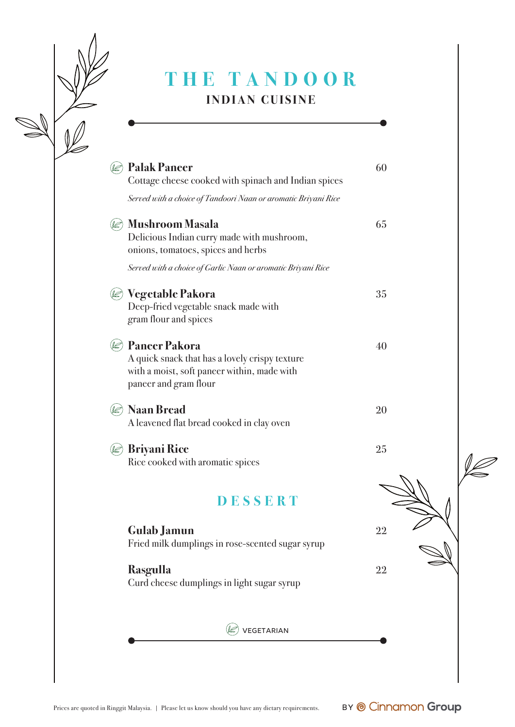| THE TANDOOR<br><b>INDIAN CUISINE</b>                                                                                                           |    |
|------------------------------------------------------------------------------------------------------------------------------------------------|----|
| <b>Palak Paneer</b><br>Cottage cheese cooked with spinach and Indian spices                                                                    | 60 |
| Served with a choice of Tandoori Naan or aromatic Briyani Rice                                                                                 |    |
| <b>Mushroom Masala</b><br>Delicious Indian curry made with mushroom,<br>onions, tomatoes, spices and herbs                                     | 65 |
| Served with a choice of Garlic Naan or aromatic Briyani Rice                                                                                   |    |
| Vegetable Pakora<br>Deep-fried vegetable snack made with<br>gram flour and spices                                                              | 35 |
| <b>Paneer Pakora</b><br>A quick snack that has a lovely crispy texture<br>with a moist, soft paneer within, made with<br>paneer and gram flour | 40 |
| <b>Naan Bread</b><br>A leavened flat bread cooked in clay oven                                                                                 | 20 |
| <b>Briyani Rice</b><br>Rice cooked with aromatic spices                                                                                        | 25 |
| DESSERT                                                                                                                                        |    |
| <b>Gulab Jamun</b><br>Fried milk dumplings in rose-scented sugar syrup                                                                         | 22 |
| <b>Rasgulla</b><br>Curd cheese dumplings in light sugar syrup                                                                                  | 22 |

 $\circledR$  vegetarian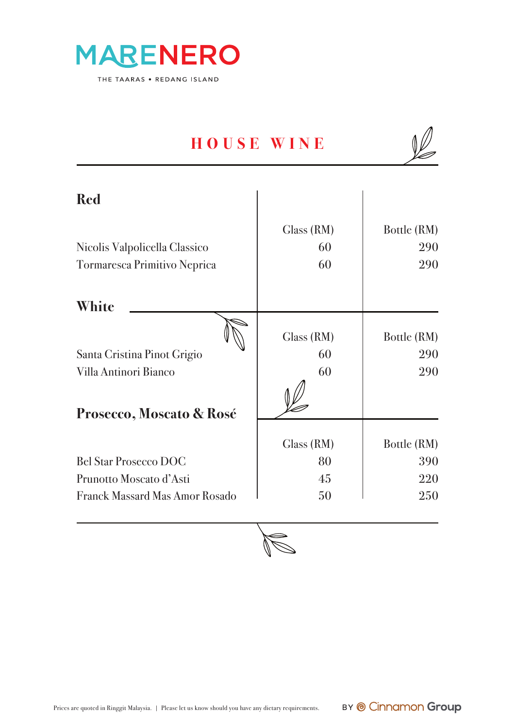

# **HOUSE WINE**

| <b>Red</b>                            |            |             |
|---------------------------------------|------------|-------------|
|                                       | Glass (RM) | Bottle (RM) |
| Nicolis Valpolicella Classico         | 60         | <b>290</b>  |
| Tormaresca Primitivo Neprica          | 60         | 290         |
| White                                 |            |             |
|                                       | Glass (RM) | Bottle (RM) |
| Santa Cristina Pinot Grigio           | 60         | 290         |
| Villa Antinori Bianco                 | 60         | 290         |
|                                       |            |             |
| Prosecco, Moscato & Rosé              |            |             |
|                                       | Glass (RM) | Bottle (RM) |
| <b>Bel Star Prosecco DOC</b>          | 80         | 390         |
| Prunotto Moscato d'Asti               | 45         | 220         |
| <b>Franck Massard Mas Amor Rosado</b> | 50         | 250         |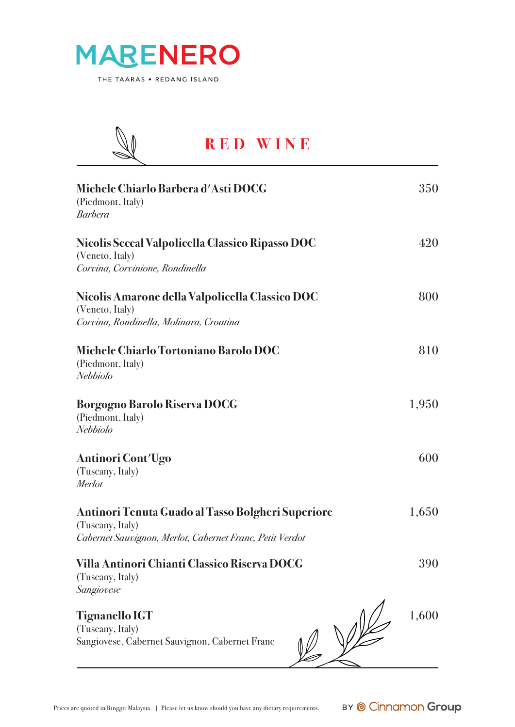



#### **RED WINE**

l

| Michele Chiarlo Barbera d'Asti DOCG<br>(Piedmont, Italy)<br><b>Barbera</b>                                                        | 350   |
|-----------------------------------------------------------------------------------------------------------------------------------|-------|
| Nicolis Seccal Valpolicella Classico Ripasso DOC<br>(Veneto, Italy)<br>Corvina, Corvinione, Rondinella                            | 420   |
| Nicolis Amarone della Valpolicella Classico DOC<br>(Veneto, Italy)<br>Corvina, Rondinella, Molinara, Croatina                     | 800   |
| Michele Chiarlo Tortoniano Barolo DOC<br>(Piedmont, Italy)<br>Nebbiolo                                                            | 810   |
| Borgogno Barolo Riserva DOCG<br>(Piedmont, Italy)<br>Nebbiolo                                                                     | 1,950 |
| Antinori Cont'Ugo<br>(Tuscany, Italy)<br>Merlot                                                                                   | 600   |
| Antinori Tenuta Guado al Tasso Bolgheri Superiore<br>(Tuscany, Italy)<br>Cabernet Sauvignon, Merlot, Cabernet Franc, Petit Verdot | 1,650 |
| Villa Antinori Chianti Classico Riserva DOCG<br>(Tuscany, Italy)<br>Sangiovese                                                    | 390   |
| <b>Tignanello IGT</b><br>(Tuscany, Italy)<br>Sangiovese, Cabernet Sauvignon, Cabernet Franc                                       | 1,600 |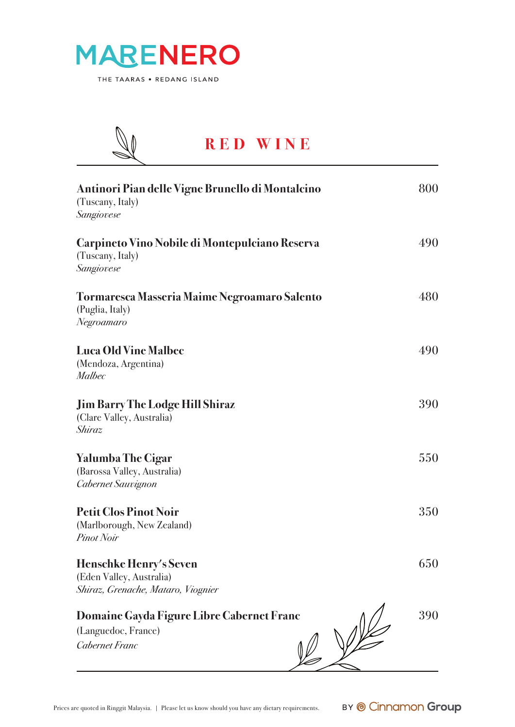



#### **RED WINE**l

| Antinori Pian delle Vigne Brunello di Montalcino<br>(Tuscany, Italy)<br>Sangiovese       | 800 |
|------------------------------------------------------------------------------------------|-----|
| Carpineto Vino Nobile di Montepulciano Reserva<br>(Tuscany, Italy)<br>Sangiovese         | 490 |
| Tormaresca Masseria Maime Negroamaro Salento<br>(Puglia, Italy)<br>Negroamaro            | 480 |
| <b>Luca Old Vine Malbec</b><br>(Mendoza, Argentina)<br><b>Malbec</b>                     | 490 |
| <b>Jim Barry The Lodge Hill Shiraz</b><br>(Clare Valley, Australia)<br>Shiraz            | 390 |
| <b>Yalumba The Cigar</b><br>(Barossa Valley, Australia)<br>Cabernet Sauvignon            | 550 |
| <b>Petit Clos Pinot Noir</b><br>(Marlborough, New Zealand)<br><b>Pinot Noir</b>          | 350 |
| Henschke Henry's Seven<br>(Eden Valley, Australia)<br>Shiraz, Grenache, Mataro, Viognier | 650 |
| Domaine Gayda Figure Libre Cabernet Franc<br>(Languedoc, France)<br>Cabernet Franc       | 390 |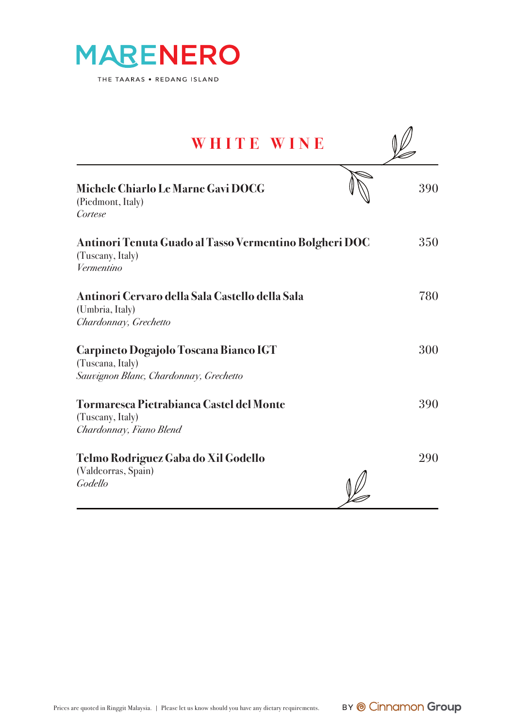

| WHITE WINE                                                                                          |     |
|-----------------------------------------------------------------------------------------------------|-----|
| Michele Chiarlo Le Marne Gavi DOCG<br>(Piedmont, Italy)<br>Cortese                                  | 390 |
| Antinori Tenuta Guado al Tasso Vermentino Bolgheri DOC<br>(Tuscany, Italy)<br>Vermentino            | 350 |
| Antinori Cervaro della Sala Castello della Sala<br>(Umbria, Italy)<br>Chardonnay, Grechetto         | 780 |
| Carpineto Dogajolo Toscana Bianco IGT<br>(Tuscana, Italy)<br>Sauvignon Blanc, Chardonnay, Grechetto | 300 |
| <b>Tormaresca Pietrabianca Castel del Monte</b><br>(Tuscany, Italy)<br>Chardonnay, Fiano Blend      | 390 |
| Telmo Rodriguez Gaba do Xil Godello<br>(Valdeorras, Spain)<br>Godello                               | 290 |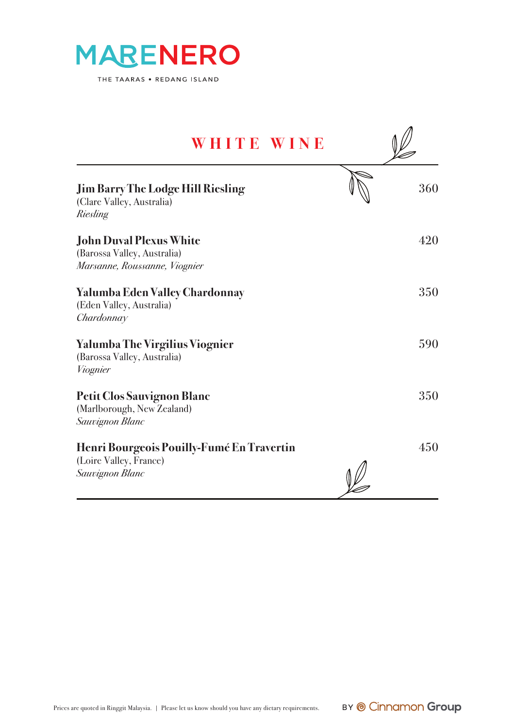

| WHITE WINE                                                                                     |     |
|------------------------------------------------------------------------------------------------|-----|
| <b>Jim Barry The Lodge Hill Riesling</b><br>(Clare Valley, Australia)<br>Riesling              | 360 |
| <b>John Duval Plexus White</b><br>(Barossa Valley, Australia)<br>Marsanne, Roussanne, Viognier | 420 |
| Yalumba Eden Valley Chardonnay<br>(Eden Valley, Australia)<br>Chardonnay                       | 350 |
| <b>Yalumba The Virgilius Viognier</b><br>(Barossa Valley, Australia)<br>Viognier               | 590 |
| Petit Clos Sauvignon Blanc<br>(Marlborough, New Zealand)<br>Sauvignon Blanc                    | 350 |
| Henri Bourgeois Pouilly-Fumé En Travertin<br>(Loire Valley, France)<br>Sauvignon Blanc         | 450 |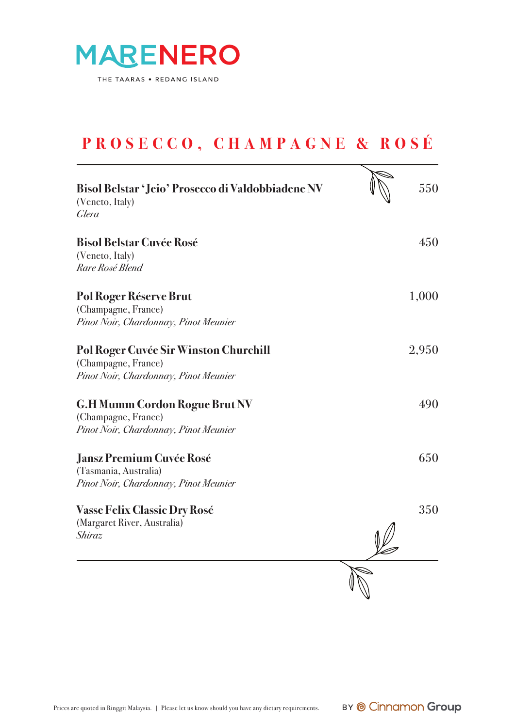

### **PROSECCO, CHAMPAGNE & ROSÉ**

l

| Bisol Belstar 'Jeio' Prosecco di Valdobbiadene NV<br>(Veneto, Italy)<br>Glera                         | 550   |
|-------------------------------------------------------------------------------------------------------|-------|
| <b>Bisol Belstar Cuvée Rosé</b><br>(Veneto, Italy)<br>Rare Rosé Blend                                 | 450   |
| <b>Pol Roger Réserve Brut</b><br>(Champagne, France)<br>Pinot Noir, Chardonnay, Pinot Meunier         | 1,000 |
| Pol Roger Cuvée Sir Winston Churchill<br>(Champagne, France)<br>Pinot Noir, Chardonnay, Pinot Meunier | 2,950 |
| <b>G.H Mumm Cordon Rogue Brut NV</b><br>(Champagne, France)<br>Pinot Noir, Chardonnay, Pinot Meunier  | 490   |
| <b>Jansz Premium Cuvée Rosé</b><br>(Tasmania, Australia)<br>Pinot Noir, Chardonnay, Pinot Meunier     | 650   |
| <b>Vasse Felix Classic Dry Rosé</b><br>(Margaret River, Australia)<br>Shiraz                          | 350   |
|                                                                                                       |       |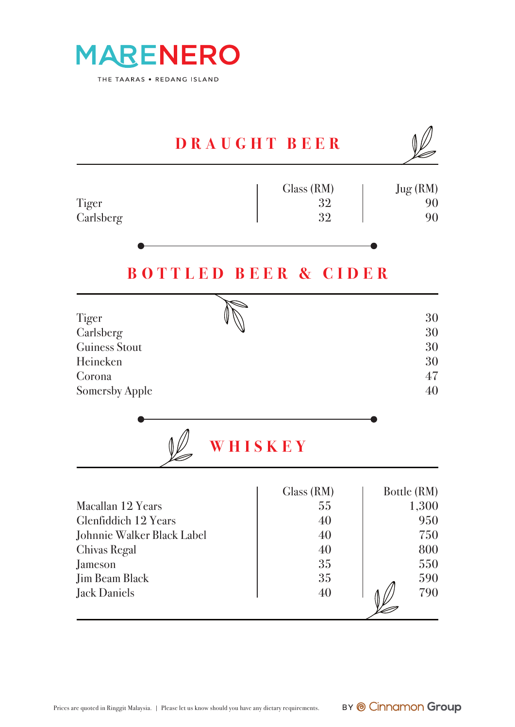

| DRAUGHT BEER                                                                                                                                                     |                                                      |                                                                |
|------------------------------------------------------------------------------------------------------------------------------------------------------------------|------------------------------------------------------|----------------------------------------------------------------|
| Tiger<br>Carlsberg                                                                                                                                               | Glass (RM)<br>32<br>32                               | Jug(RM)<br>90<br>90                                            |
| <b>BOTTLED BEER &amp; CIDER</b>                                                                                                                                  |                                                      |                                                                |
| Tiger<br>Carlsberg<br><b>Guiness Stout</b><br>Heineken<br>Corona<br><b>Somersby Apple</b><br>WHISKEY                                                             |                                                      | 30<br>30<br>30<br>30<br>47<br>40                               |
| Macallan 12 Years<br><b>Glenfiddich 12 Years</b><br>Johnnie Walker Black Label<br><b>Chivas Regal</b><br>Jameson<br><b>Jim Beam Black</b><br><b>Jack Daniels</b> | Glass (RM)<br>55<br>40<br>40<br>40<br>35<br>35<br>40 | Bottle (RM)<br>1,300<br>950<br>750<br>800<br>550<br>590<br>790 |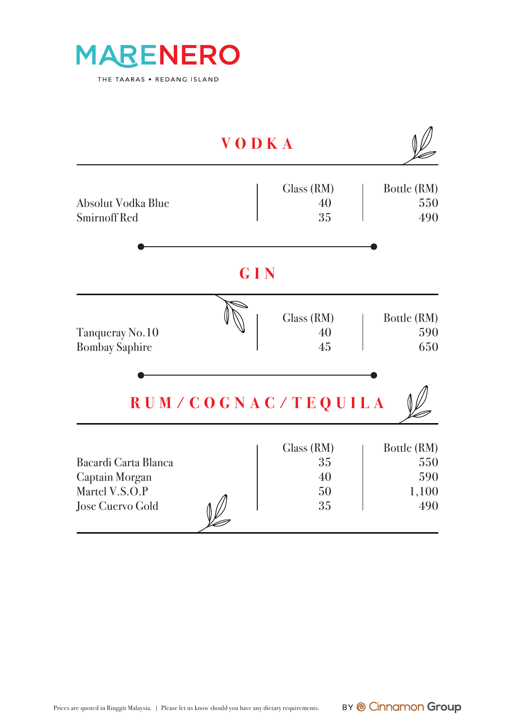

|                                                                                     | VODKA              |                                    |                                           |
|-------------------------------------------------------------------------------------|--------------------|------------------------------------|-------------------------------------------|
| Absolut Vodka Blue<br><b>Smirnoff Red</b>                                           |                    | Class (RM)<br>40<br>35             | Bottle (RM)<br>550<br>490                 |
|                                                                                     | GIN                |                                    |                                           |
| Tanqueray No.10<br><b>Bombay Saphire</b>                                            |                    | Class (RM)<br>40<br>45             | Bottle (RM)<br>590<br>650                 |
|                                                                                     | RUM/COGNAC/TEQUILA |                                    |                                           |
| Bacardi Carta Blanca<br>Captain Morgan<br>Martel V.S.O.P<br><b>Jose Cuervo Gold</b> |                    | Glass (RM)<br>35<br>40<br>50<br>35 | Bottle (RM)<br>550<br>590<br>1,100<br>490 |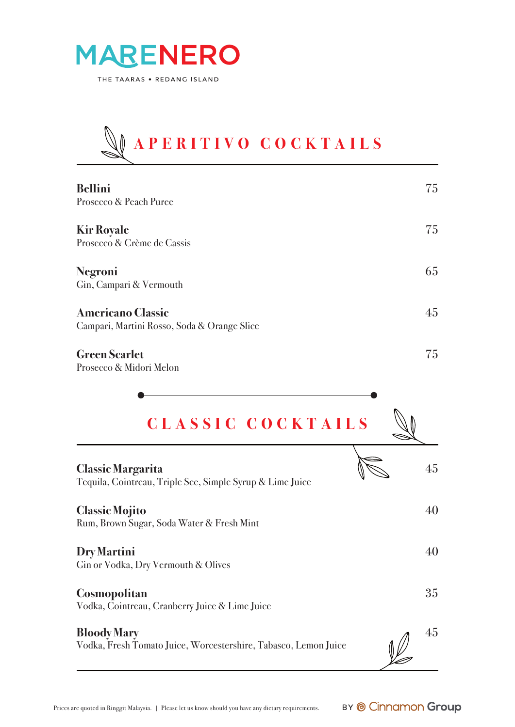

# **APERITIVO COCKTAILS**

| <b>Bellini</b><br>Prosecco & Peach Puree                                | 75 |
|-------------------------------------------------------------------------|----|
| <b>Kir Royale</b><br>Prosecco & Crème de Cassis                         | 75 |
| Negroni<br>Gin, Campari & Vermouth                                      | 65 |
| <b>Americano Classic</b><br>Campari, Martini Rosso, Soda & Orange Slice | 45 |
| <b>Green Scarlet</b><br>Prosecco & Midori Melon                         | 75 |

| CLASSIC COCKTAILS                                                                     |    |
|---------------------------------------------------------------------------------------|----|
| <b>Classic Margarita</b><br>Tequila, Cointreau, Triple Sec, Simple Syrup & Lime Juice | 45 |
| <b>Classic Mojito</b><br>Rum, Brown Sugar, Soda Water & Fresh Mint                    | 40 |
| <b>Dry Martini</b><br>Gin or Vodka, Dry Vermouth & Olives                             | 40 |
| <b>Cosmopolitan</b><br>Vodka, Cointreau, Cranberry Juice & Lime Juice                 | 35 |
| <b>Bloody Mary</b><br>Vodka, Fresh Tomato Juice, Worcestershire, Tabasco, Lemon Juice | 45 |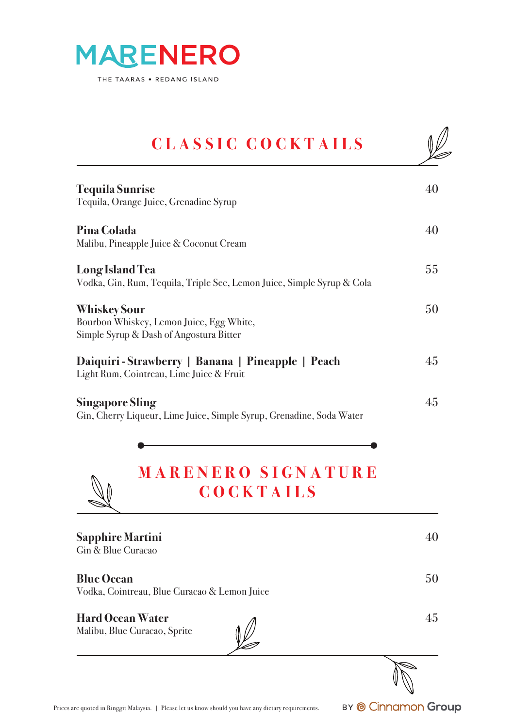

## **CLASSIC COCKTAILS**

| <b>Tequila Sunrise</b><br>Tequila, Orange Juice, Grenadine Syrup                                           | 40 |
|------------------------------------------------------------------------------------------------------------|----|
| Pina Colada<br>Malibu, Pineapple Juice & Coconut Cream                                                     | 40 |
| Long Island Tea<br>Vodka, Gin, Rum, Tequila, Triple Sec, Lemon Juice, Simple Syrup & Cola                  | 55 |
| <b>Whiskey Sour</b><br>Bourbon Whiskey, Lemon Juice, Egg White,<br>Simple Syrup & Dash of Angostura Bitter | 50 |
| Daiquiri - Strawberry   Banana   Pineapple   Peach<br>Light Rum, Cointreau, Lime Juice & Fruit             | 45 |
| <b>Singapore Sling</b><br>Gin, Cherry Liqueur, Lime Juice, Simple Syrup, Grenadine, Soda Water             | 45 |
| <b>MARENERO SIGNATURE</b><br><b>COCKTAILS</b>                                                              |    |

**Sapphire Martini** 40 Gin & Blue Curacao **Blue Ocean** 50 Vodka, Cointreau, Blue Curacao & Lemon Juice **Hard Ocean Water** 45 Malibu, Blue Curacao, Sprite v<br>C

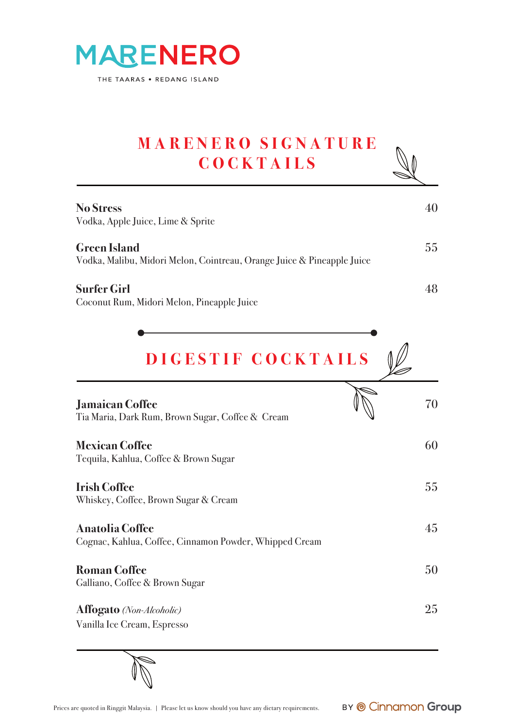

#### **MARENERO SIGNATURE COCKTAILS**ı

| <b>No Stress</b><br>Vodka, Apple Juice, Lime & Sprite                                         |    |
|-----------------------------------------------------------------------------------------------|----|
| <b>Green Island</b><br>Vodka, Malibu, Midori Melon, Cointreau, Orange Juice & Pineapple Juice | 55 |
| <b>Surfer Girl</b><br>Coconut Rum, Midori Melon, Pineapple Juice                              |    |

| DIGESTIF COCKTAILS                                                               |    |
|----------------------------------------------------------------------------------|----|
| <b>Jamaican Coffee</b><br>Tia Maria, Dark Rum, Brown Sugar, Coffee & Cream       | 70 |
| <b>Mexican Coffee</b><br>Tequila, Kahlua, Coffee & Brown Sugar                   | 60 |
| <b>Irish Coffee</b><br>Whiskey, Coffee, Brown Sugar & Cream                      | 55 |
| <b>Anatolia Coffee</b><br>Cognac, Kahlua, Coffee, Cinnamon Powder, Whipped Cream | 45 |
| <b>Roman Coffee</b><br>Galliano, Coffee & Brown Sugar                            | 50 |
| <b>Affogato</b> (Non-Alcoholic)<br>Vanilla Ice Cream, Espresso                   | 25 |

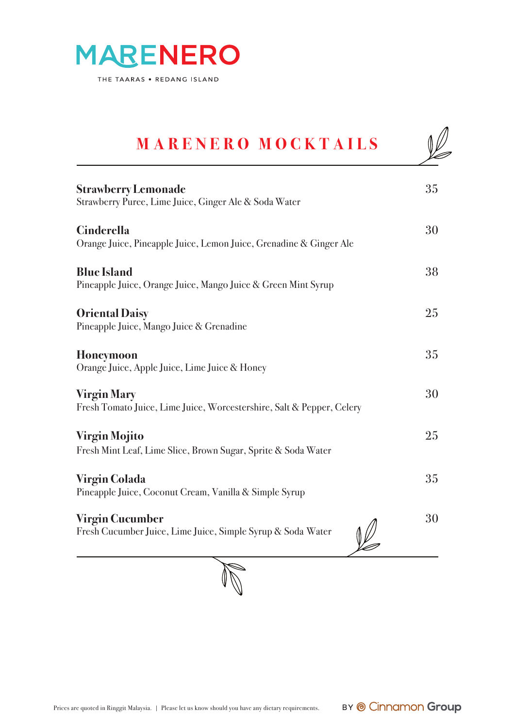

## **MARENERO MOCKTAILS Strawberry Lemonade** 35 Strawberry Puree, Lime Juice, Ginger Ale & Soda Water **Cinderella** 30 Orange Juice, Pineapple Juice, Lemon Juice, Grenadine & Ginger Ale **Blue Island** 38 Pineapple Juice, Orange Juice, Mango Juice & Green Mint Syrup **Oriental Daisy** 25 Pineapple Juice, Mango Juice & Grenadine **Honeymoon** 35 Orange Juice, Apple Juice, Lime Juice & Honey **Virgin Mary** 30 Fresh Tomato Juice, Lime Juice, Worcestershire, Salt & Pepper, Celery **Virgin Mojito** 25 Fresh Mint Leaf, Lime Slice, Brown Sugar, Sprite & Soda Water **Virgin Colada** 35 Pineapple Juice, Coconut Cream, Vanilla & Simple Syrup **Virgin Cucumber** 30 Fresh Cucumber Juice, Lime Juice, Simple Syrup & Soda Water

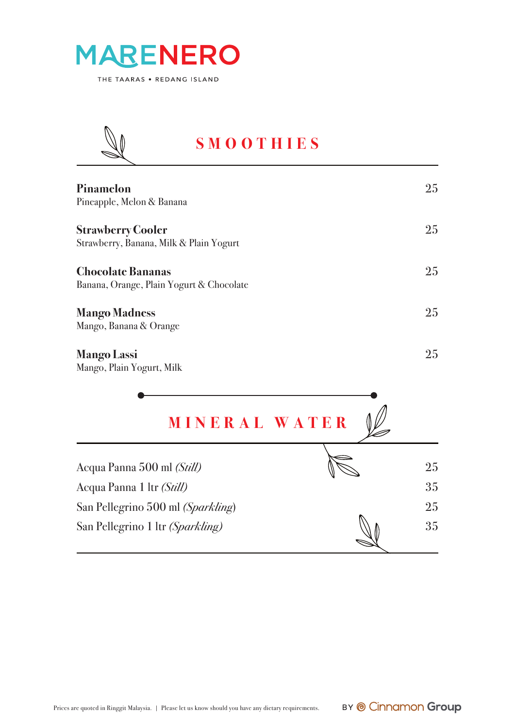



#### **SMOOTHIES**

| Pinamelon<br>Pineapple, Melon & Banana                               | 25 |
|----------------------------------------------------------------------|----|
| <b>Strawberry Cooler</b><br>Strawberry, Banana, Milk & Plain Yogurt  | 25 |
| <b>Chocolate Bananas</b><br>Banana, Orange, Plain Yogurt & Chocolate | 25 |
| <b>Mango Madness</b><br>Mango, Banana & Orange                       | 25 |
| <b>Mango Lassi</b>                                                   | 25 |

Mango, Plain Yogurt, Milk

| <b>MINERAL WATER</b>                                                  |          |
|-----------------------------------------------------------------------|----------|
| Acqua Panna 500 ml (Still)<br>Acqua Panna 1 ltr (Still)               | 25<br>35 |
| San Pellegrino 500 ml (Sparkling)<br>San Pellegrino 1 ltr (Sparkling) | 25<br>35 |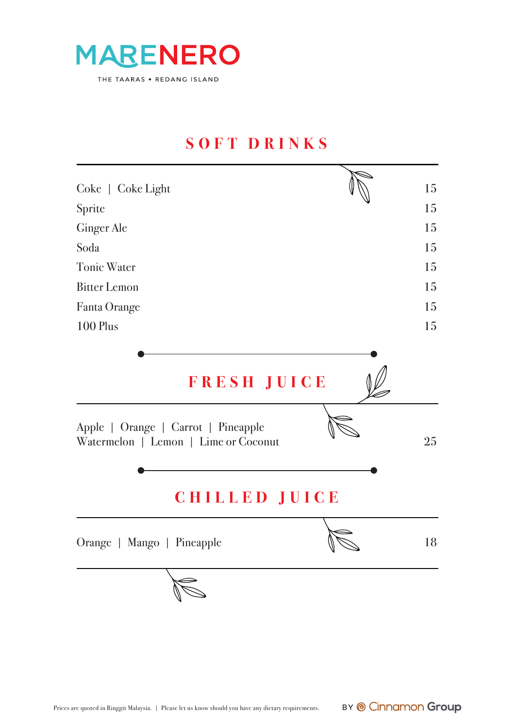

#### **SOFT DRINKS**